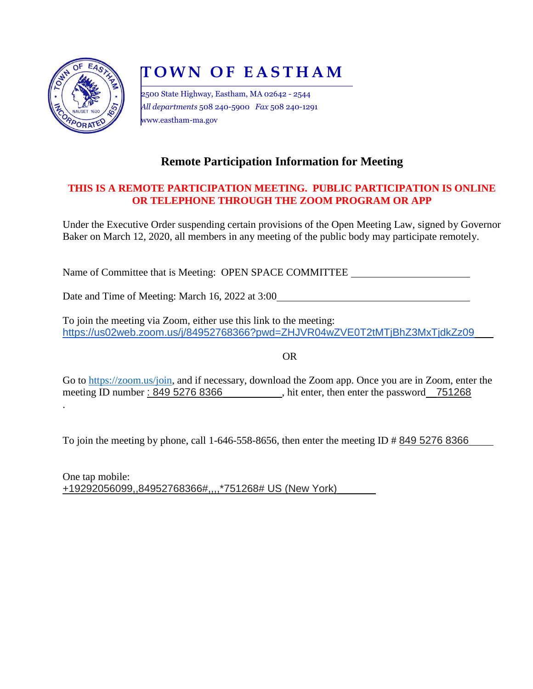

.

# **T O W N O F E A S T H A M**

2500 State Highway, Eastham, MA 02642 - 2544 *All departments* 508 240-5900 *Fax* 508 240-1291 www.eastham-ma.gov

# **Remote Participation Information for Meeting**

## **THIS IS A REMOTE PARTICIPATION MEETING. PUBLIC PARTICIPATION IS ONLINE OR TELEPHONE THROUGH THE ZOOM PROGRAM OR APP**

Under the Executive Order suspending certain provisions of the Open Meeting Law, signed by Governor Baker on March 12, 2020, all members in any meeting of the public body may participate remotely.

Name of Committee that is Meeting: OPEN SPACE COMMITTEE

Date and Time of Meeting: March 16, 2022 at 3:00

To join the meeting via Zoom, either use this link to the meeting: https://us02web.zoom.us/j/84952768366?pwd=ZHJVR04wZVE0T2tMTjBhZ3MxTjdkZz09

OR

Go to [https://zoom.us/join,](https://zoom.us/join) and if necessary, download the Zoom app. Once you are in Zoom, enter the meeting ID number: 849 5276 8366 , hit enter, then enter the password 751268

To join the meeting by phone, call 1-646-558-8656, then enter the meeting ID # 849 5276 8366

One tap mobile: +19292056099,,84952768366#,,,,\*751268# US (New York)